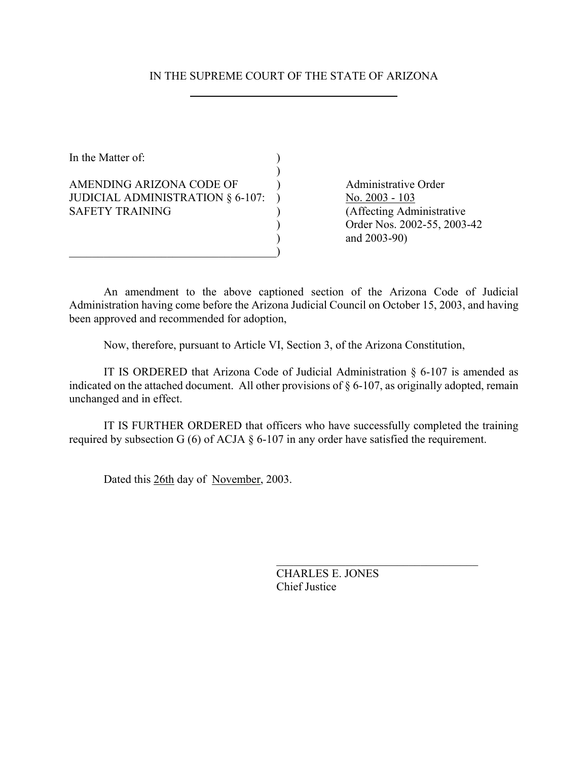## IN THE SUPREME COURT OF THE STATE OF ARIZONA

In the Matter of:  $\qquad \qquad$  )  $\mathcal{L}$ AMENDING ARIZONA CODE OF Administrative Order JUDICIAL ADMINISTRATION  $\S 6-107$ : ) No. 2003 - 103 SAFETY TRAINING (Affecting Administrative

 $\qquad \qquad \qquad \qquad \qquad \qquad \qquad$ 

) Order Nos. 2002-55, 2003-42 ) and 2003-90)

An amendment to the above captioned section of the Arizona Code of Judicial Administration having come before the Arizona Judicial Council on October 15, 2003, and having been approved and recommended for adoption,

Now, therefore, pursuant to Article VI, Section 3, of the Arizona Constitution,

IT IS ORDERED that Arizona Code of Judicial Administration § 6-107 is amended as indicated on the attached document. All other provisions of § 6-107, as originally adopted, remain unchanged and in effect.

IT IS FURTHER ORDERED that officers who have successfully completed the training required by subsection G (6) of ACJA § 6-107 in any order have satisfied the requirement.

Dated this 26th day of November, 2003.

CHARLES E. JONES Chief Justice

 $\mathcal{L}_\text{max}$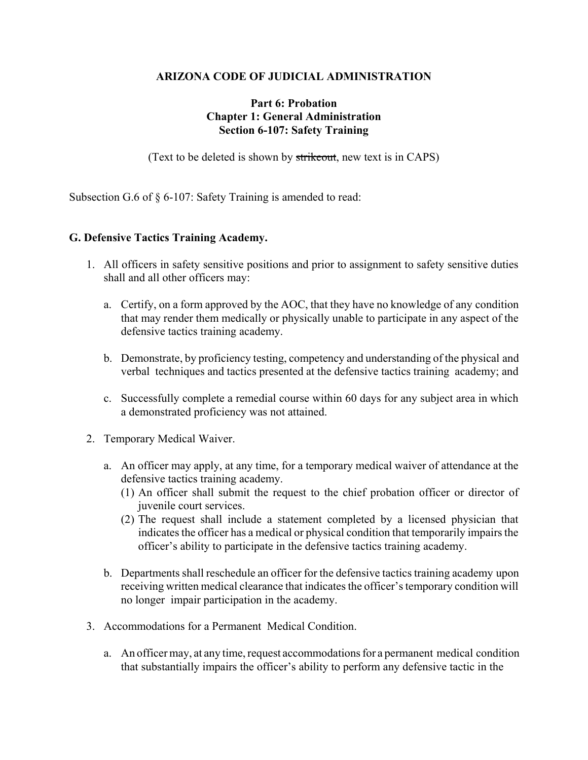## **ARIZONA CODE OF JUDICIAL ADMINISTRATION**

## **Part 6: Probation Chapter 1: General Administration Section 6-107: Safety Training**

(Text to be deleted is shown by strikeout, new text is in CAPS)

Subsection G.6 of § 6-107: Safety Training is amended to read:

## **G. Defensive Tactics Training Academy.**

- 1. All officers in safety sensitive positions and prior to assignment to safety sensitive duties shall and all other officers may:
	- a. Certify, on a form approved by the AOC, that they have no knowledge of any condition that may render them medically or physically unable to participate in any aspect of the defensive tactics training academy.
	- b. Demonstrate, by proficiency testing, competency and understanding of the physical and verbal techniques and tactics presented at the defensive tactics training academy; and
	- c. Successfully complete a remedial course within 60 days for any subject area in which a demonstrated proficiency was not attained.
- 2. Temporary Medical Waiver.
	- a. An officer may apply, at any time, for a temporary medical waiver of attendance at the defensive tactics training academy.
		- (1) An officer shall submit the request to the chief probation officer or director of juvenile court services.
		- (2) The request shall include a statement completed by a licensed physician that indicates the officer has a medical or physical condition that temporarily impairs the officer's ability to participate in the defensive tactics training academy.
	- b. Departments shall reschedule an officer for the defensive tactics training academy upon receiving written medical clearance that indicates the officer's temporary condition will no longer impair participation in the academy.
- 3. Accommodations for a Permanent Medical Condition.
	- a. An officer may, at any time, request accommodations for a permanent medical condition that substantially impairs the officer's ability to perform any defensive tactic in the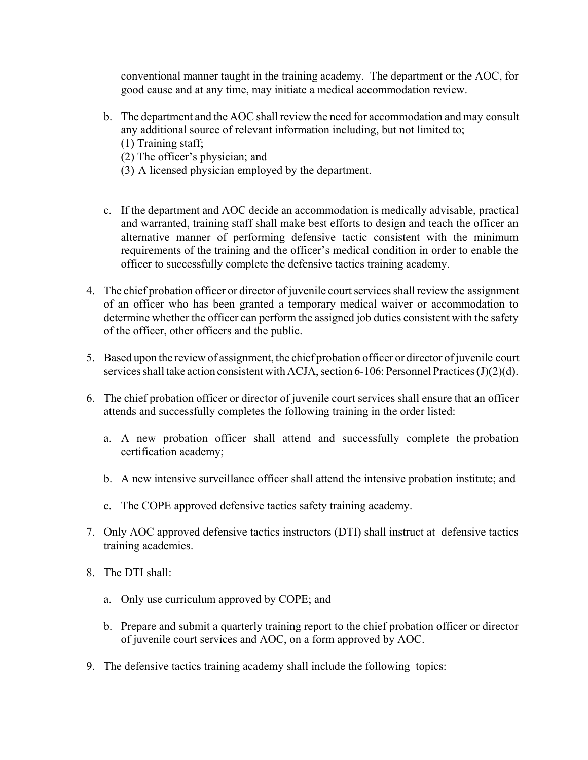conventional manner taught in the training academy. The department or the AOC, for good cause and at any time, may initiate a medical accommodation review.

- b. The department and the AOC shall review the need for accommodation and may consult any additional source of relevant information including, but not limited to;
	- (1) Training staff;
	- (2) The officer's physician; and
	- (3) A licensed physician employed by the department.
- c. If the department and AOC decide an accommodation is medically advisable, practical and warranted, training staff shall make best efforts to design and teach the officer an alternative manner of performing defensive tactic consistent with the minimum requirements of the training and the officer's medical condition in order to enable the officer to successfully complete the defensive tactics training academy.
- 4. The chief probation officer or director of juvenile court services shall review the assignment of an officer who has been granted a temporary medical waiver or accommodation to determine whether the officer can perform the assigned job duties consistent with the safety of the officer, other officers and the public.
- 5. Based upon the review of assignment, the chief probation officer or director of juvenile court services shall take action consistent with ACJA, section 6-106: Personnel Practices (J)(2)(d).
- 6. The chief probation officer or director of juvenile court services shall ensure that an officer attends and successfully completes the following training in the order listed:
	- a. A new probation officer shall attend and successfully complete the probation certification academy;
	- b. A new intensive surveillance officer shall attend the intensive probation institute; and
	- c. The COPE approved defensive tactics safety training academy.
- 7. Only AOC approved defensive tactics instructors (DTI) shall instruct at defensive tactics training academies.
- 8. The DTI shall:
	- a. Only use curriculum approved by COPE; and
	- b. Prepare and submit a quarterly training report to the chief probation officer or director of juvenile court services and AOC, on a form approved by AOC.
- 9. The defensive tactics training academy shall include the following topics: